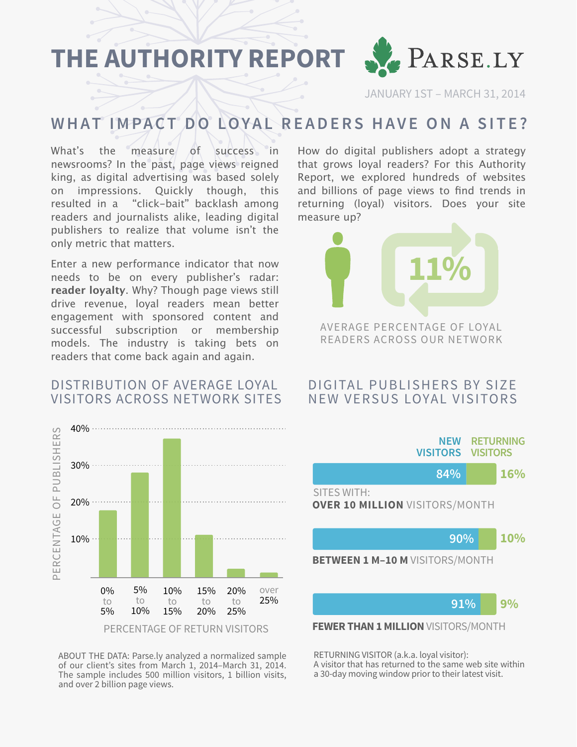**THE AUTHORITY REPORT**



JANUARY 1ST – MARCH 31, 2014

## **WHAT IMPACT DO LOYAL READERS HAVE ON A SITE?**

What's the measure of success in newsrooms? In the past, page views reigned king, as digital advertising was based solely on impressions. Quickly though, this resulted in a "click-bait" backlash among readers and journalists alike, leading digital publishers to realize that volume isn't the only metric that matters.

Enter a new performance indicator that now needs to be on every publisher's radar: **reader loyalty**. Why? Though page views still drive revenue, loyal readers mean better engagement with sponsored content and successful subscription or membership models. The industry is taking bets on readers that come back again and again.

#### DISTRIBUTION OF AVERAGE LOYAL VISITORS ACROSS NETWORK SITES



ABOUT THE DATA: Parse.ly analyzed a normalized sample of our client's sites from March 1, 2014–March 31, 2014. The sample includes 500 million visitors, 1 billion visits, and over 2 billion page views.

How do digital publishers adopt a strategy that grows loyal readers? For this Authority Report, we explored hundreds of websites and billions of page views to find trends in returning (loyal) visitors. Does your site measure up?



#### DIGITAL PUBLISHERS BY SIZE NEW VERSUS LOYAL VISITORS



RETURNING VISITOR (a.k.a. loyal visitor): A visitor that has returned to the same web site within a 30-day moving window prior to their latest visit.